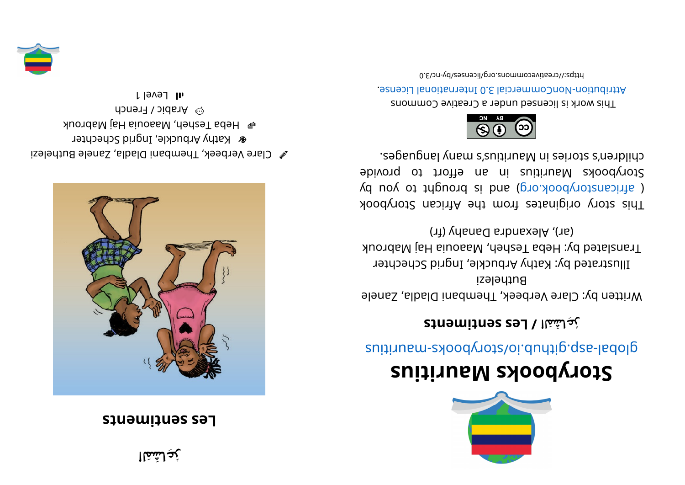**عِاشَمَلا ُ ر**

## **z i statisfy netallizing**



 $\mathscr{C}$  Clare Verbeek, Thembani Diadla, Zanele Buthelezi **&** Kathy Arbuckle, Ingrid Schechter epa Tesheh, Maaouia Haj Mabrouk  $\odot$  Arabic / French l level 1





## **<sup>s</sup> ui ti r ua Mskoobyr otS**

suitius ratio day of chains and the syncastic suiting

## **st ne mi t nes seL/ لاَمَاشِعُر**

Written by: Clare Verbeek, Thembani Dladla, Zanele Buthelezi Illustrated by: Kathy Arbuckle, Ingrid Schechter Translated by: Heba Tesheh, Maaouia Haj Mabrouk  $(3r)$ , Alexandra Danahy (fr)

kood yoof a sing in and work set and work sid and a single single single single single single single ( africanstorybook.org) and is brought to you by Storybooks Mauritius in an effort to provide segaugnal ynam s'zuitius Manris s'nenblid.



This work is licensed under a Creative Commons Attribution-NonCommercial 3.0 International License.

0. Elon-vdl esemmons. org/licenses/day-nc/3.0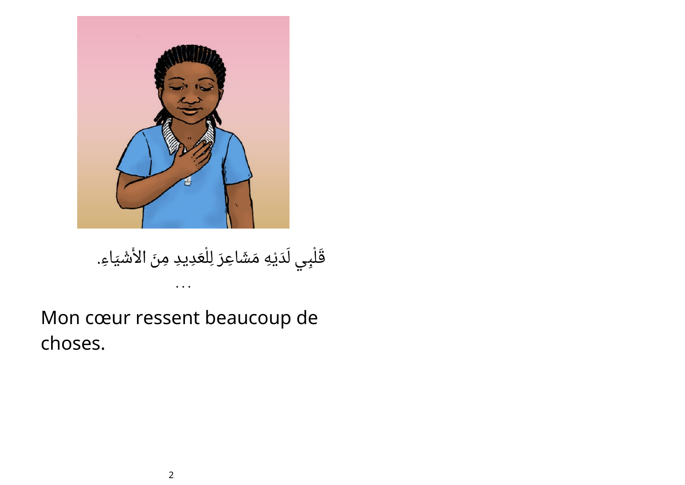

قَلْبِي لَدَيْهِ مَشَاعِرَ لِلْعَدِيدِ مِنَ الأَشْيَاءِ.

## Mon cœur ressent beaucoup de choses.

• • •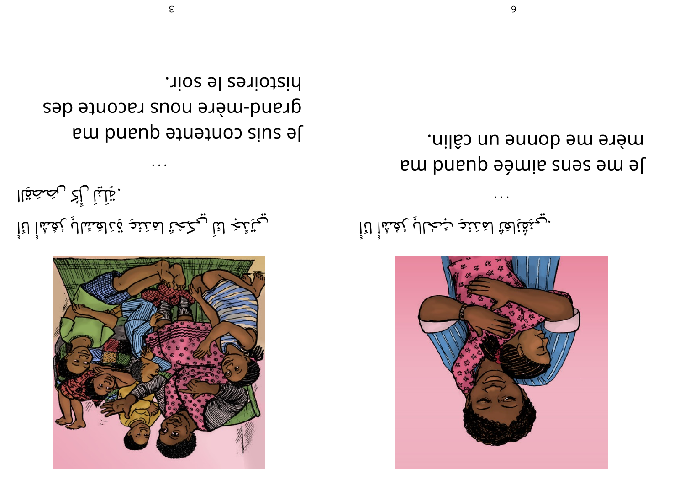

يَ تَبْ لنَا يِكْحُنْ لمَنْئِدِ قِاهَشْلِ بِأَعْشَالِ بِعُشْأَ لَأَأْ ل َ ليْ ك َ . تِلْلِياْ رِأْكُ رِيْصَحَقِاا

Je zins coureurs brund was equally grad-mère nous raconte des . rios el zeriotzin

• • •



$$
\dot{\tilde{\mathfrak{l}}}\text{is}^{\text{st,1}}
$$

Je me zeus suite suas em a mère me donne un câlin.

• • •